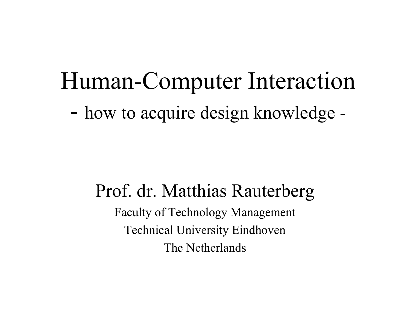# Human-Computer Interaction how to acquire design knowledge -

## Prof. dr. Matthias Rauterberg Faculty of Technology Management Technical University Eindhoven The Netherlands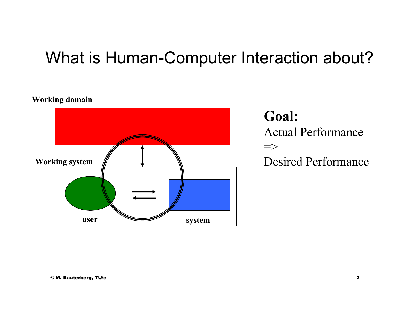### What is Human-Computer Interaction about?

### **Working domain**



**Goal:** Actual Performance  $\Rightarrow$ Desired Performance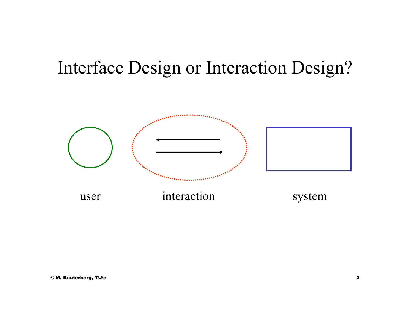## Interface Design or Interaction Design?

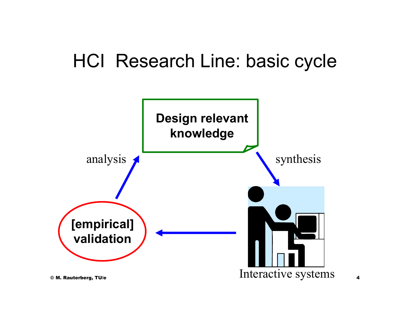## HCI Research Line: basic cycle

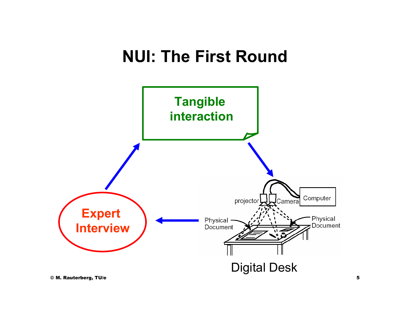## **NUI: The First Round**

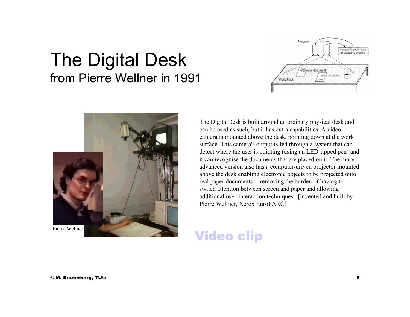### The Digital Desk from Pierre Wellner in 1991





The DigitalDesk is built around an ordinary physical desk and can be used as such, but it has extra capabilities. A video camera is mounted above the desk, pointing down at the work surface. This camera's output is fed through a system that can detect where the user is pointing (using an LED-tipped pen) and it can recognise the documents that are placed on it. The more advanced version also has a computer-driven projector mounted above the desk enabling electronic objects to be projected onto real paper documents -- removing the burden of having to switch attention between screen and paper and allowing additional user-interaction techniques. [invented and built by Pierre Wellner, Xerox EuroPARC]

### Video clip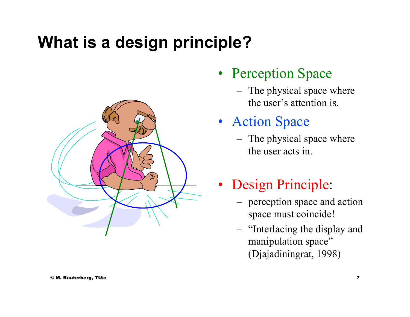## **What is a design principle?**



### • Perception Space

– The physical space where the user's attention is.

### • Action Space

- – The physical space where the user acts in.
- Design Principle:
	- perception space and action space must coincide!
	- – "Interlacing the display and manipulation space" (Djajadiningrat, 1998)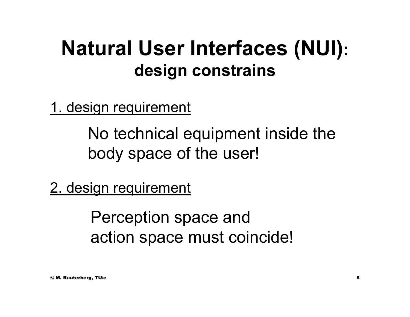## **Natural User Interfaces (NUI): design constrains**

1. design requirement

No technical equipment inside the body space of the user!

2. design requirement

Perception space and action space must coincide!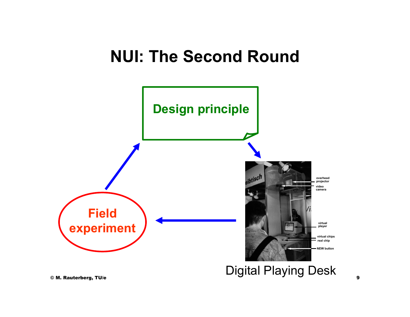## **NUI: The Second Round**

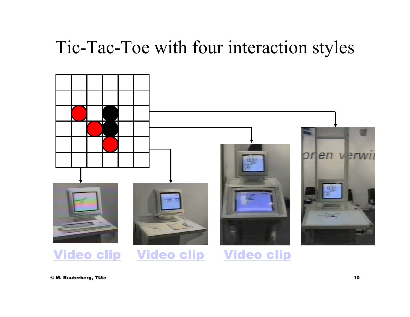## Tic-Tac-Toe with four interaction styles

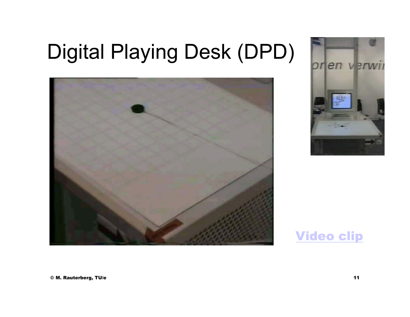# Digital Playing Desk (DPD)





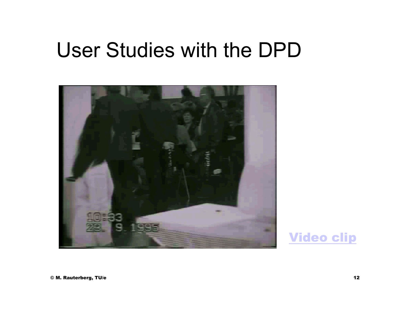## User Studies with the DPD



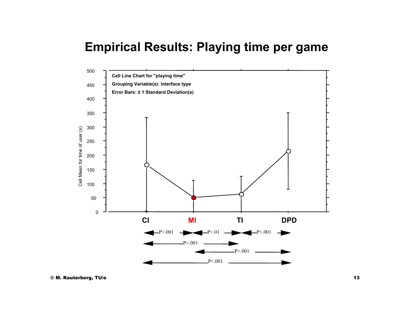### **Empirical Results: Playing time per game**

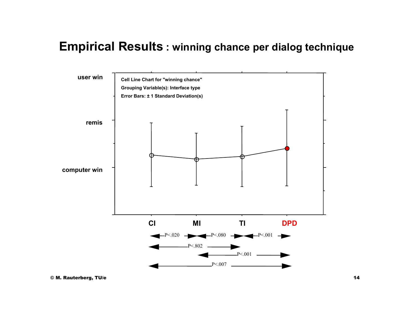### **Empirical Results : winning chance per dialog technique**

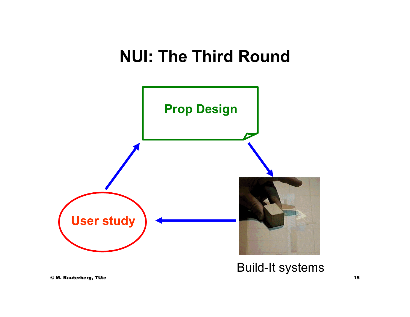## **NUI: The Third Round**



Build-It systems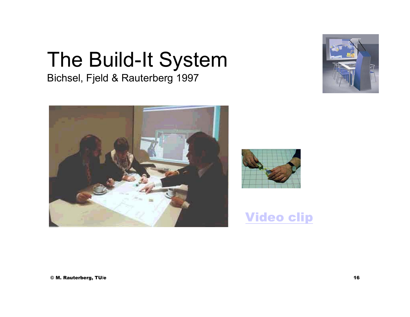# The Build-It System

Bichsel, Fjeld & Rauterberg 1997







Video clip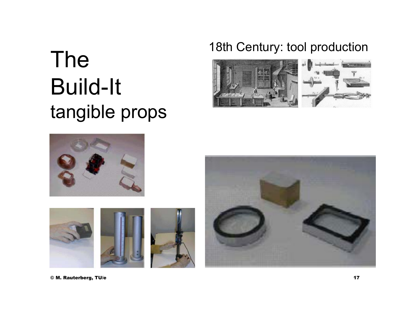# The 18th Century: tool production Build-It tangible props









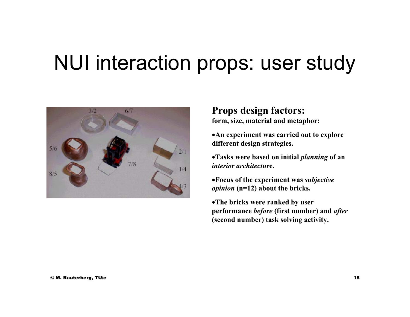## NUI interaction props: user study



**Props design factors: form, size, material and metaphor:**

•**An experiment was carried out to explore different design strategies.**

•**Tasks were based on initial** *planning* **of an**  *interior architectur***e.**

•**Focus of the experiment was** *subjective opinion* **(n=12) about the bricks.**

•**The bricks were ranked by user performance** *before* **(first number) and** *after* **(second number) task solving activity.**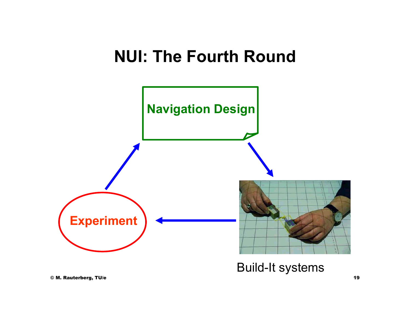### **NUI: The Fourth Round**

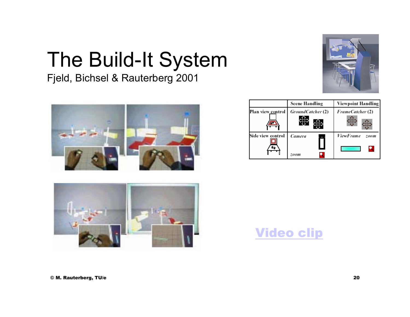# The Build-It System

Fjeld, Bichsel & Rauterberg 2001







|                   | Plan view_control   <i>GroundCatcher</i> (2) | FrameCatcher (2)                |
|-------------------|----------------------------------------------|---------------------------------|
| Side view control | Camera                                       | <b>ViewFrame</b><br><i>zoom</i> |
|                   | zoom                                         |                                 |

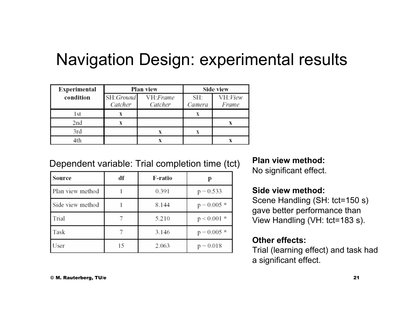### Navigation Design: experimental results

| Experimental |                       | Plan view           | Side view     |                  |
|--------------|-----------------------|---------------------|---------------|------------------|
| condition    | SH: Ground<br>Catcher | VH:Frame<br>Catcher | SH:<br>Camera | VH:View<br>Frame |
| l st         |                       |                     |               |                  |
| 2nd          |                       |                     |               |                  |
| 3rd          |                       |                     |               |                  |
| 4th          |                       |                     |               |                  |

### Dependent variable: Trial completion time (tct) Plan view method:<br>
No significant effect.

| Source           | df | F-ratio |               |
|------------------|----|---------|---------------|
| Plan view method |    | 0.391   | $p = 0.533$   |
| Side view method |    | 8.144   | $p = 0.005$ * |
| Trial            |    | 5.210   | $p < 0.001$ * |
| Task             |    | 3.146   | $p = 0.005$ * |
| User             | 15 | 2.063   | $p = 0.018$   |

### **Side view method:**

Scene Handling (SH: tct=150 s) gave better performance than View Handling (VH: tct=183 s).

### **Other effects:**

Trial (learning effect) and task had a significant effect.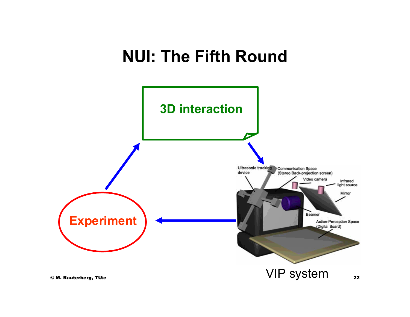## **NUI: The Fifth Round**

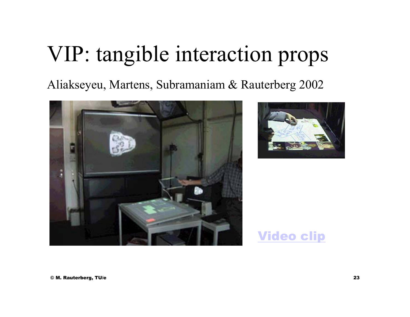# VIP: tangible interaction props

Aliakseyeu, Martens, Subramaniam & Rauterberg 2002





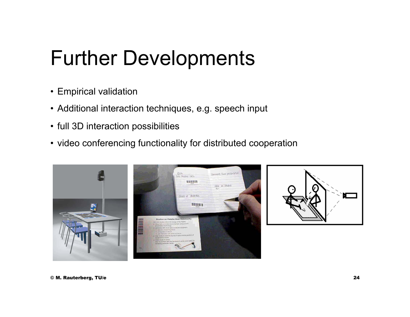# Further Developments

- Empirical validation
- Additional interaction techniques, e.g. speech input
- full 3D interaction possibilities
- video conferencing functionality for distributed cooperation

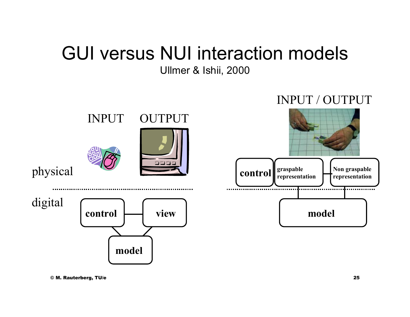## GUI versus NUI interaction models

Ullmer & Ishii, 2000

### INPUT / OUTPUT

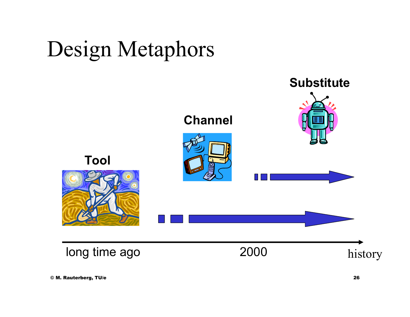# Design Metaphors

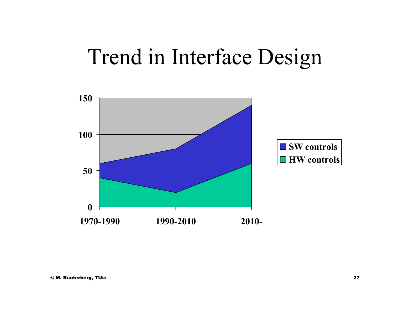# Trend in Interface Design

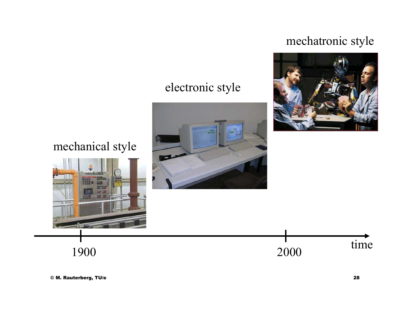### mechatronic style



2000

### electronic style



1900 2000



mechanical style

time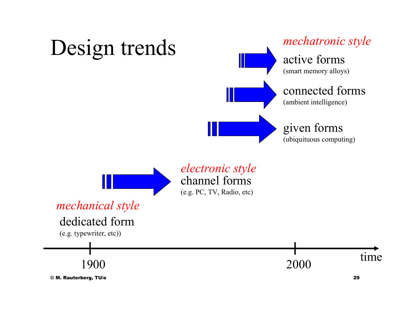